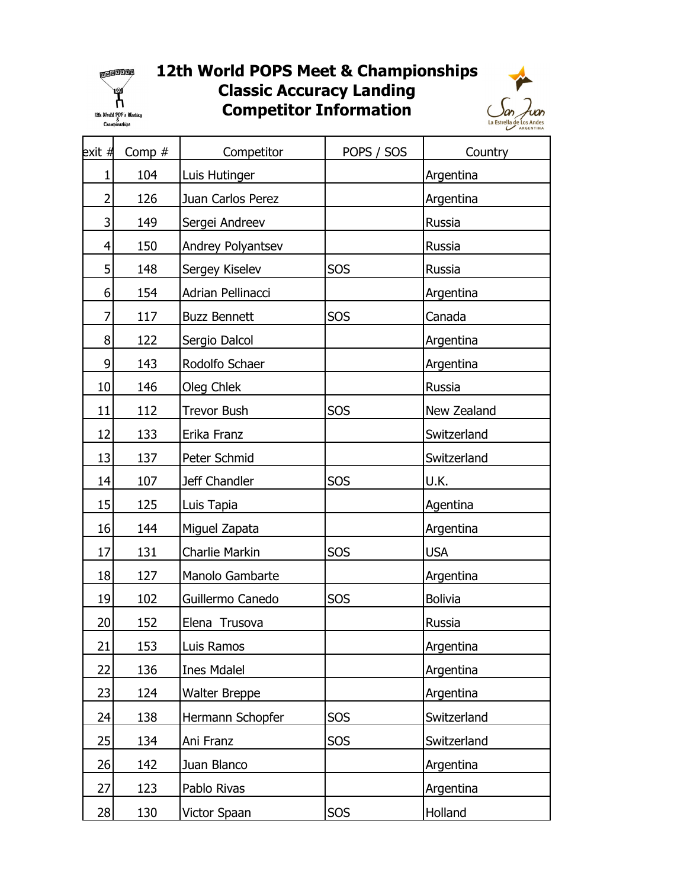

## 12th World POPS Meet & Championships Competitor Information Classic Accuracy Landing



| exit # | Comp $#$ | Competitor           | POPS / SOS | Country        |
|--------|----------|----------------------|------------|----------------|
| 1      | 104      | Luis Hutinger        |            | Argentina      |
| 2      | 126      | Juan Carlos Perez    |            | Argentina      |
| 3      | 149      | Sergei Andreev       |            | Russia         |
| 4      | 150      | Andrey Polyantsev    |            | Russia         |
| 5      | 148      | Sergey Kiselev       | SOS        | Russia         |
| 6      | 154      | Adrian Pellinacci    |            | Argentina      |
| 7      | 117      | <b>Buzz Bennett</b>  | SOS        | Canada         |
| 8      | 122      | Sergio Dalcol        |            | Argentina      |
| 9      | 143      | Rodolfo Schaer       |            | Argentina      |
| 10     | 146      | Oleg Chlek           |            | Russia         |
| 11     | 112      | <b>Trevor Bush</b>   | SOS        | New Zealand    |
| 12     | 133      | Erika Franz          |            | Switzerland    |
| 13     | 137      | Peter Schmid         |            | Switzerland    |
| 14     | 107      | Jeff Chandler        | SOS        | U.K.           |
| 15     | 125      | Luis Tapia           |            | Agentina       |
| 16     | 144      | Miguel Zapata        |            | Argentina      |
| 17     | 131      | Charlie Markin       | SOS        | <b>USA</b>     |
| 18     | 127      | Manolo Gambarte      |            | Argentina      |
| 19     | 102      | Guillermo Canedo     | SOS        | <b>Bolivia</b> |
| 20     | 152      | Elena Trusova        |            | Russia         |
| 21     | 153      | Luis Ramos           |            | Argentina      |
| 22     | 136      | <b>Ines Mdalel</b>   |            | Argentina      |
| 23     | 124      | <b>Walter Breppe</b> |            | Argentina      |
| 24     | 138      | Hermann Schopfer     | SOS        | Switzerland    |
| 25     | 134      | Ani Franz            | SOS        | Switzerland    |
| 26     | 142      | Juan Blanco          |            | Argentina      |
| 27     | 123      | Pablo Rivas          |            | Argentina      |
| 28     | 130      | Victor Spaan         | SOS        | Holland        |